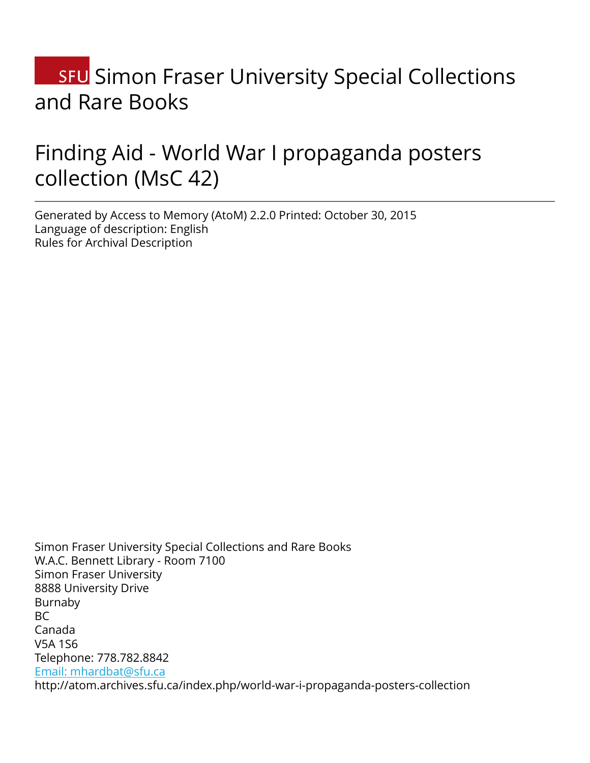# **SFU** Simon Fraser University Special Collections and Rare Books

## Finding Aid - World War I propaganda posters collection (MsC 42)

Generated by Access to Memory (AtoM) 2.2.0 Printed: October 30, 2015 Language of description: English Rules for Archival Description

Simon Fraser University Special Collections and Rare Books W.A.C. Bennett Library - Room 7100 Simon Fraser University 8888 University Drive Burnaby BC Canada V5A 1S6 Telephone: 778.782.8842 [Email: mhardbat@sfu.ca](mailto:Email: mhardbat@sfu.ca) http://atom.archives.sfu.ca/index.php/world-war-i-propaganda-posters-collection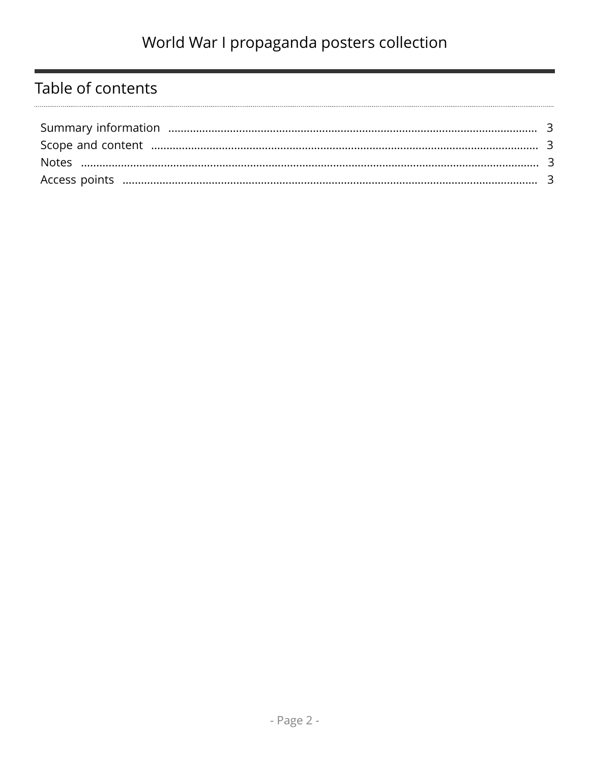### Table of contents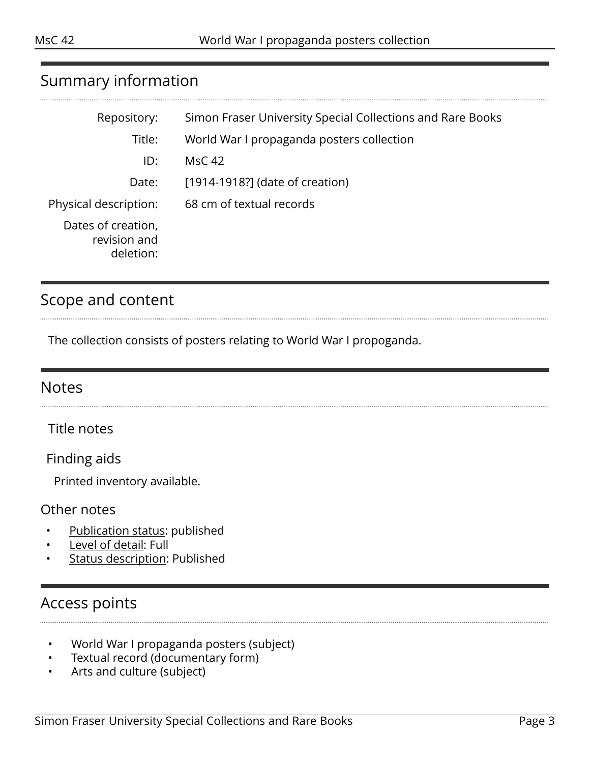#### <span id="page-2-0"></span>Summary information

| Repository:                                     | Simon Fraser University Special Collections and Rare Books |
|-------------------------------------------------|------------------------------------------------------------|
| Title:                                          | World War I propaganda posters collection                  |
| ID:                                             | <b>MsC 42</b>                                              |
| Date:                                           | [1914-1918?] (date of creation)                            |
| Physical description:                           | 68 cm of textual records                                   |
| Dates of creation,<br>revision and<br>deletion: |                                                            |

#### <span id="page-2-1"></span>Scope and content

The collection consists of posters relating to World War I propoganda.

#### <span id="page-2-2"></span>**Notes**

Title notes

Finding aids

Printed inventory available.

#### Other notes

- Publication status: published
- Level of detail: Full
- **Status description: Published**

### <span id="page-2-3"></span>Access points

- World War I propaganda posters (subject)
- Textual record (documentary form)
- Arts and culture (subject)